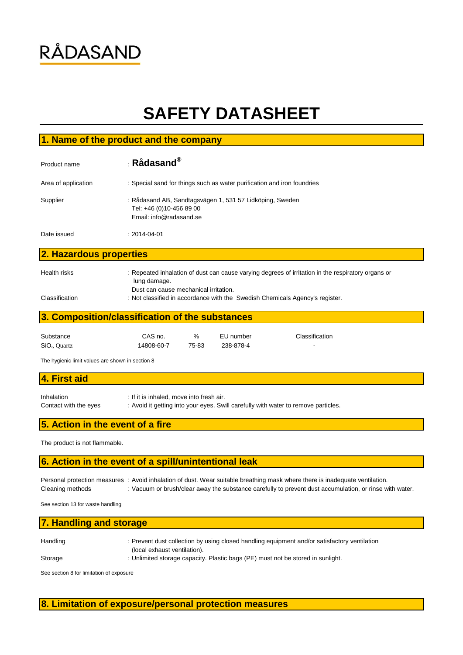# **RÅDASAND**

# **SAFETY DATASHEET**

### **1. Name of the product and the company**

| Product name            | $\pm$ Rådasand $^\circledR$                                                                                     |
|-------------------------|-----------------------------------------------------------------------------------------------------------------|
| Area of application     | : Special sand for things such as water purification and iron foundries                                         |
| Supplier                | : Rådasand AB, Sandtagsvägen 1, 531 57 Lidköping, Sweden<br>Tel: +46 (0)10-456 89 00<br>Email: info@radasand.se |
| Date issued             | $: 2014 - 04 - 01$                                                                                              |
| 2. Hazardous properties |                                                                                                                 |

Health risks : Repeated inhalation of dust can cause varying degrees of irritation in the respiratory organs or

 lung damage. Dust can cause mechanical irritation.

Classification : Not classified in accordance with the Swedish Chemicals Agency's register.

# **3. Composition/classification of the substances**

| Substance                 | CAS no.    | $\%$  | EU number | Classification |
|---------------------------|------------|-------|-----------|----------------|
| SiO <sub>2</sub> , Quartz | 14808-60-7 | 75-83 | 238-878-4 | $\blacksquare$ |

The hygienic limit values are shown in section 8

# Inhalation : If it is inhaled, move into fresh air. Contact with the eyes : Avoid it getting into your eyes. Swill carefully with water to remove particles. **4. First aid**

## **5. Action in the event of a fire**

The product is not flammable.

### **6. Action in the event of a spill/unintentional leak**

|                  | Personal protection measures : Avoid inhalation of dust. Wear suitable breathing mask where there is inadequate ventilation. |
|------------------|------------------------------------------------------------------------------------------------------------------------------|
| Cleaning methods | : Vacuum or brush/clear away the substance carefully to prevent dust accumulation, or rinse with water.                      |

See section 13 for waste handling

#### **7. Handling and storage**

| Handling | : Prevent dust collection by using closed handling equipment and/or satisfactory ventilation |
|----------|----------------------------------------------------------------------------------------------|
|          | (local exhaust ventilation).                                                                 |
| Storage  | : Unlimited storage capacity. Plastic bags (PE) must not be stored in sunlight.              |

See section 8 for limitation of exposure

#### **8. Limitation of exposure/personal protection measures**